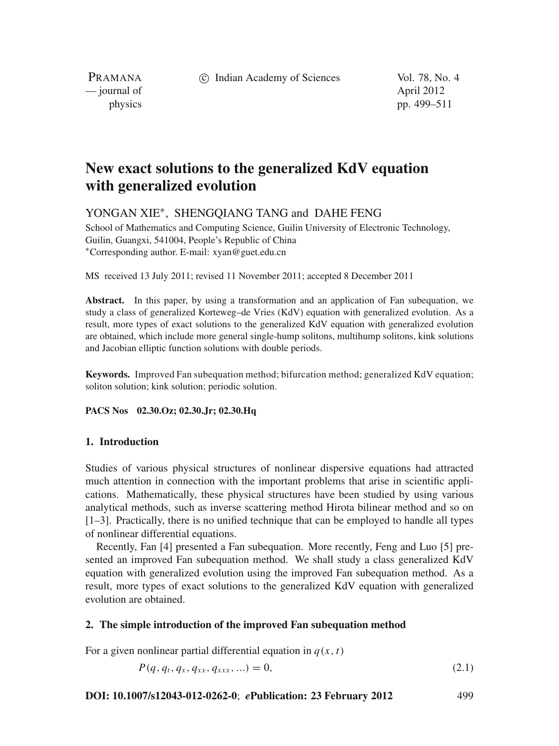c Indian Academy of Sciences Vol. 78, No. 4

PRAMANA — journal of April 2012

physics pp. 499–511

# **New exact solutions to the generalized KdV equation with generalized evolution**

YONGAN XIE∗, SHENGQIANG TANG and DAHE FENG

School of Mathematics and Computing Science, Guilin University of Electronic Technology, Guilin, Guangxi, 541004, People's Republic of China <sup>∗</sup>Corresponding author. E-mail: xyan@guet.edu.cn

MS received 13 July 2011; revised 11 November 2011; accepted 8 December 2011

**Abstract.** In this paper, by using a transformation and an application of Fan subequation, we study a class of generalized Korteweg–de Vries (KdV) equation with generalized evolution. As a result, more types of exact solutions to the generalized KdV equation with generalized evolution are obtained, which include more general single-hump solitons, multihump solitons, kink solutions and Jacobian elliptic function solutions with double periods.

**Keywords.** Improved Fan subequation method; bifurcation method; generalized KdV equation; soliton solution; kink solution; periodic solution.

**PACS Nos 02.30.Oz; 02.30.Jr; 02.30.Hq**

# **1. Introduction**

Studies of various physical structures of nonlinear dispersive equations had attracted much attention in connection with the important problems that arise in scientific applications. Mathematically, these physical structures have been studied by using various analytical methods, such as inverse scattering method Hirota bilinear method and so on [1–3]. Practically, there is no unified technique that can be employed to handle all types of nonlinear differential equations.

Recently, Fan [4] presented a Fan subequation. More recently, Feng and Luo [5] presented an improved Fan subequation method. We shall study a class generalized KdV equation with generalized evolution using the improved Fan subequation method. As a result, more types of exact solutions to the generalized KdV equation with generalized evolution are obtained.

# **2. The simple introduction of the improved Fan subequation method**

For a given nonlinear partial differential equation in  $q(x, t)$ 

$$
P(q, q_t, q_x, q_{xx}, q_{xxx}, \ldots) = 0, \tag{2.1}
$$

# **DOI: 10.1007/s12043-012-0262-0**; *e***Publication: 23 February 2012** 499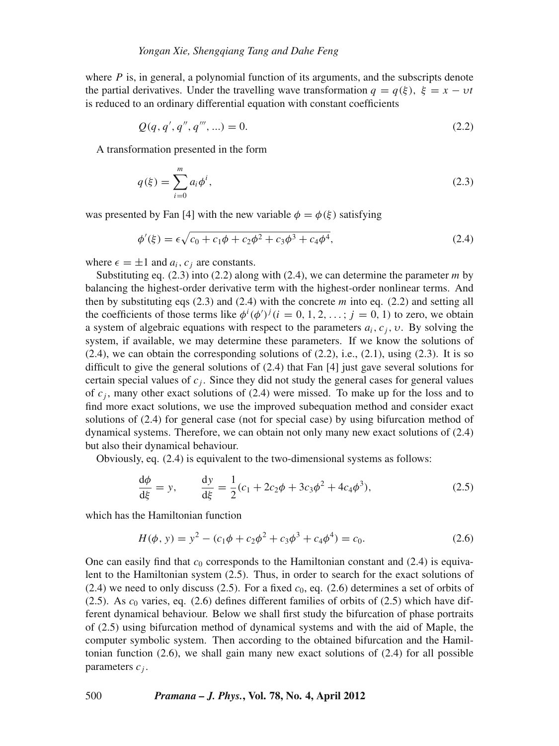where *P* is, in general, a polynomial function of its arguments, and the subscripts denote the partial derivatives. Under the travelling wave transformation  $q = q(\xi)$ ,  $\xi = x - vt$ is reduced to an ordinary differential equation with constant coefficients

$$
Q(q, q', q'', q''', ...) = 0.
$$
\n(2.2)

A transformation presented in the form

$$
q(\xi) = \sum_{i=0}^{m} a_i \phi^i,
$$
\n(2.3)

was presented by Fan [4] with the new variable  $\phi = \phi(\xi)$  satisfying

$$
\phi'(\xi) = \epsilon \sqrt{c_0 + c_1 \phi + c_2 \phi^2 + c_3 \phi^3 + c_4 \phi^4},\tag{2.4}
$$

where  $\epsilon = \pm 1$  and  $a_i, c_j$  are constants.

Substituting eq. (2.3) into (2.2) along with (2.4), we can determine the parameter *m* by balancing the highest-order derivative term with the highest-order nonlinear terms. And then by substituting eqs  $(2.3)$  and  $(2.4)$  with the concrete *m* into eq.  $(2.2)$  and setting all the coefficients of those terms like  $\phi^i(\phi')^j$  (*i* = 0, 1, 2, ...; *j* = 0, 1) to zero, we obtain a system of algebraic equations with respect to the parameters  $a_i$ ,  $c_j$ ,  $v$ . By solving the system, if available, we may determine these parameters. If we know the solutions of  $(2.4)$ , we can obtain the corresponding solutions of  $(2.2)$ , i.e.,  $(2.1)$ , using  $(2.3)$ . It is so difficult to give the general solutions of (2.4) that Fan [4] just gave several solutions for certain special values of  $c_j$ . Since they did not study the general cases for general values of  $c_j$ , many other exact solutions of  $(2.4)$  were missed. To make up for the loss and to find more exact solutions, we use the improved subequation method and consider exact solutions of (2.4) for general case (not for special case) by using bifurcation method of dynamical systems. Therefore, we can obtain not only many new exact solutions of (2.4) but also their dynamical behaviour.

Obviously, eq. (2.4) is equivalent to the two-dimensional systems as follows:

$$
\frac{d\phi}{d\xi} = y, \qquad \frac{dy}{d\xi} = \frac{1}{2}(c_1 + 2c_2\phi + 3c_3\phi^2 + 4c_4\phi^3),
$$
\n(2.5)

which has the Hamiltonian function

$$
H(\phi, y) = y^2 - (c_1\phi + c_2\phi^2 + c_3\phi^3 + c_4\phi^4) = c_0.
$$
 (2.6)

One can easily find that  $c_0$  corresponds to the Hamiltonian constant and  $(2.4)$  is equivalent to the Hamiltonian system (2.5). Thus, in order to search for the exact solutions of  $(2.4)$  we need to only discuss  $(2.5)$ . For a fixed  $c<sub>0</sub>$ , eq.  $(2.6)$  determines a set of orbits of (2.5). As *c*<sup>0</sup> varies, eq. (2.6) defines different families of orbits of (2.5) which have different dynamical behaviour. Below we shall first study the bifurcation of phase portraits of (2.5) using bifurcation method of dynamical systems and with the aid of Maple, the computer symbolic system. Then according to the obtained bifurcation and the Hamiltonian function  $(2.6)$ , we shall gain many new exact solutions of  $(2.4)$  for all possible parameters *c <sup>j</sup>* .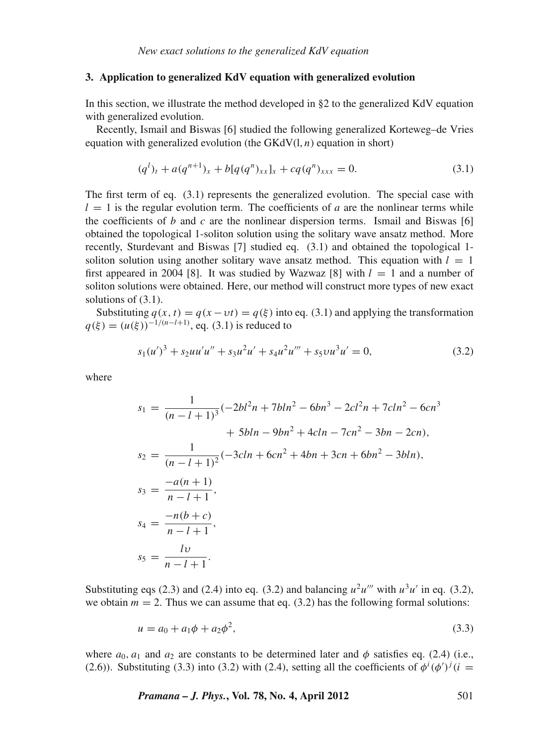# **3. Application to generalized KdV equation with generalized evolution**

In this section, we illustrate the method developed in §2 to the generalized KdV equation with generalized evolution.

Recently, Ismail and Biswas [6] studied the following generalized Korteweg–de Vries equation with generalized evolution (the  $GKdV(1, n)$  equation in short)

$$
(q^{l})_{t} + a(q^{n+1})_{x} + b[q(q^{n})_{xx}]_{x} + cq(q^{n})_{xxx} = 0.
$$
\n(3.1)

The first term of eq. (3.1) represents the generalized evolution. The special case with  $l = 1$  is the regular evolution term. The coefficients of *a* are the nonlinear terms while the coefficients of *b* and *c* are the nonlinear dispersion terms. Ismail and Biswas [6] obtained the topological 1-soliton solution using the solitary wave ansatz method. More recently, Sturdevant and Biswas [7] studied eq. (3.1) and obtained the topological 1 soliton solution using another solitary wave ansatz method. This equation with  $l = 1$ first appeared in 2004 [8]. It was studied by Wazwaz [8] with  $l = 1$  and a number of soliton solutions were obtained. Here, our method will construct more types of new exact solutions of (3.1).

Substituting  $q(x, t) = q(x - vt) = q(\xi)$  into eq. (3.1) and applying the transformation  $q(\xi) = (u(\xi))^{-1/(n-l+1)}$ , eq. (3.1) is reduced to

$$
s_1(u')^3 + s_2uu'u'' + s_3u^2u' + s_4u^2u''' + s_5vu^3u' = 0,
$$
\n(3.2)

where

$$
s_1 = \frac{1}{(n-l+1)^3}(-2bl^2n + 7bln^2 - 6bn^3 - 2cl^2n + 7cln^2 - 6cn^3
$$
  
+ 5bln - 9bn^2 + 4cln - 7cn^2 - 3bn - 2cn),  

$$
s_2 = \frac{1}{(n-l+1)^2}(-3cln + 6cn^2 + 4bn + 3cn + 6bn^2 - 3bln),
$$
  

$$
s_3 = \frac{-a(n+1)}{n-l+1},
$$
  

$$
s_4 = \frac{-n(b+c)}{n-l+1},
$$
  

$$
s_5 = \frac{lv}{n-l+1}.
$$

Substituting eqs (2.3) and (2.4) into eq. (3.2) and balancing  $u^2u'''$  with  $u^3u'$  in eq. (3.2), we obtain  $m = 2$ . Thus we can assume that eq. (3.2) has the following formal solutions:

$$
u = a_0 + a_1 \phi + a_2 \phi^2,
$$
\n(3.3)

where  $a_0$ ,  $a_1$  and  $a_2$  are constants to be determined later and  $\phi$  satisfies eq. (2.4) (i.e., (2.6)). Substituting (3.3) into (3.2) with (2.4), setting all the coefficients of  $\phi^i(\phi')^j(i =$ 

*Pramana – J. Phys.***, Vol. 78, No. 4, April 2012** 501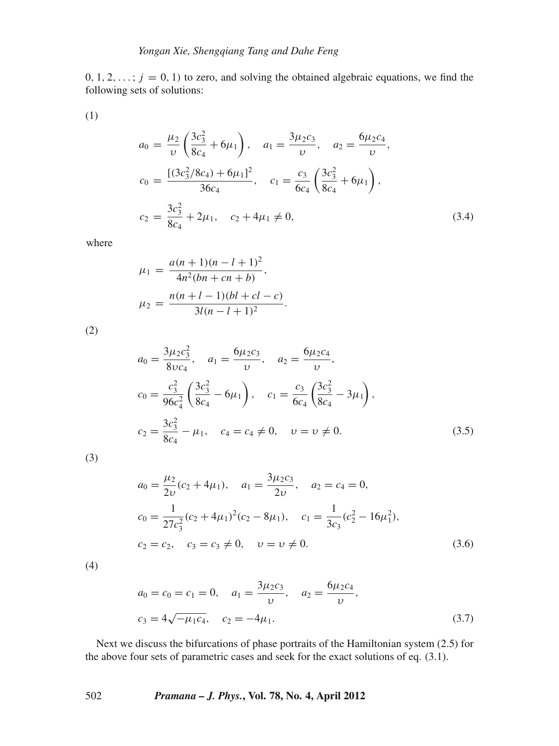$0, 1, 2, \ldots$ ;  $j = 0, 1$ ) to zero, and solving the obtained algebraic equations, we find the following sets of solutions:

(1)

$$
a_0 = \frac{\mu_2}{\nu} \left( \frac{3c_3^2}{8c_4} + 6\mu_1 \right), \quad a_1 = \frac{3\mu_2 c_3}{\nu}, \quad a_2 = \frac{6\mu_2 c_4}{\nu},
$$

$$
c_0 = \frac{[(3c_3^2/8c_4) + 6\mu_1]^2}{36c_4}, \quad c_1 = \frac{c_3}{6c_4} \left( \frac{3c_3^2}{8c_4} + 6\mu_1 \right),
$$

$$
c_2 = \frac{3c_3^2}{8c_4} + 2\mu_1, \quad c_2 + 4\mu_1 \neq 0,
$$
(3.4)

where

$$
\mu_1 = \frac{a(n+1)(n-l+1)^2}{4n^2(bn+cn+b)},
$$
  

$$
\mu_2 = \frac{n(n+l-1)(bl+cl-c)}{3l(n-l+1)^2}.
$$

(2)

$$
a_0 = \frac{3\mu_2 c_3^2}{8\upsilon c_4}, \quad a_1 = \frac{6\mu_2 c_3}{\upsilon}, \quad a_2 = \frac{6\mu_2 c_4}{\upsilon},
$$
  
\n
$$
c_0 = \frac{c_3^2}{96c_4^2} \left(\frac{3c_3^2}{8c_4} - 6\mu_1\right), \quad c_1 = \frac{c_3}{6c_4} \left(\frac{3c_3^2}{8c_4} - 3\mu_1\right),
$$
  
\n
$$
c_2 = \frac{3c_3^2}{8c_4} - \mu_1, \quad c_4 = c_4 \neq 0, \quad \upsilon = \upsilon \neq 0.
$$
\n(3.5)

(3)

$$
a_0 = \frac{\mu_2}{2\upsilon}(c_2 + 4\mu_1), \quad a_1 = \frac{3\mu_2 c_3}{2\upsilon}, \quad a_2 = c_4 = 0,
$$
  
\n
$$
c_0 = \frac{1}{27c_3^2}(c_2 + 4\mu_1)^2(c_2 - 8\mu_1), \quad c_1 = \frac{1}{3c_3}(c_2^2 - 16\mu_1^2),
$$
  
\n
$$
c_2 = c_2, \quad c_3 = c_3 \neq 0, \quad \upsilon = \upsilon \neq 0.
$$
\n(3.6)

(4)

$$
a_0 = c_0 = c_1 = 0, \quad a_1 = \frac{3\mu_2 c_3}{\nu}, \quad a_2 = \frac{6\mu_2 c_4}{\nu},
$$
  

$$
c_3 = 4\sqrt{-\mu_1 c_4}, \quad c_2 = -4\mu_1.
$$
 (3.7)

Next we discuss the bifurcations of phase portraits of the Hamiltonian system (2.5) for the above four sets of parametric cases and seek for the exact solutions of eq. (3.1).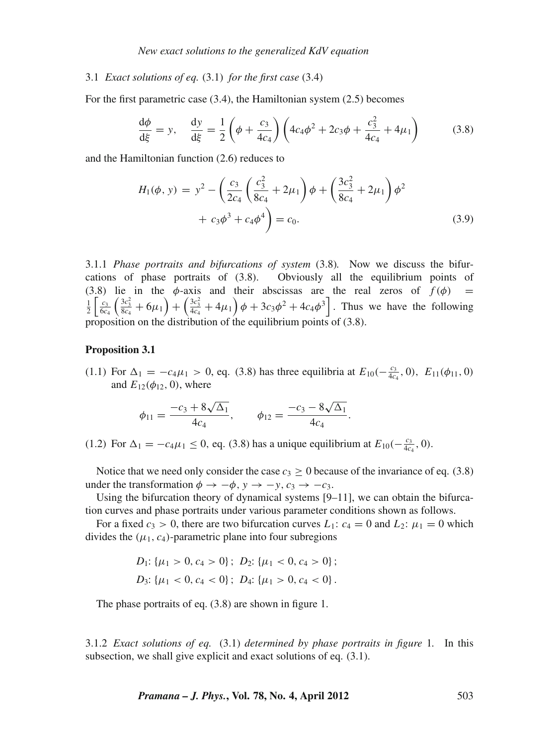#### 3.1 *Exact solutions of eq.* (3.1) *for the first case* (3.4)

For the first parametric case (3.4), the Hamiltonian system (2.5) becomes

$$
\frac{d\phi}{d\xi} = y, \quad \frac{dy}{d\xi} = \frac{1}{2} \left( \phi + \frac{c_3}{4c_4} \right) \left( 4c_4\phi^2 + 2c_3\phi + \frac{c_3^2}{4c_4} + 4\mu_1 \right) \tag{3.8}
$$

and the Hamiltonian function (2.6) reduces to

$$
H_1(\phi, y) = y^2 - \left(\frac{c_3}{2c_4} \left(\frac{c_3^2}{8c_4} + 2\mu_1\right) \phi + \left(\frac{3c_3^2}{8c_4} + 2\mu_1\right) \phi^2 + c_3 \phi^3 + c_4 \phi^4\right) = c_0.
$$
\n(3.9)

3.1.1 *Phase portraits and bifurcations of system* (3.8)*.* Now we discuss the bifurcations of phase portraits of (3.8). Obviously all the equilibrium points of (3.8) lie in the  $\phi$ -axis and their abscissas are the real zeros of  $f(\phi)$  =  $\frac{1}{2} \left[ \frac{c_3}{6c_4} \left( \frac{3c_3^2}{8c_4} + 6\mu_1 \right) + \left( \frac{3c_3^2}{4c_4} + 4\mu_1 \right) \phi + 3c_3 \phi^2 + 4c_4 \phi^3 \right]$ . Thus we have the following proposition on the distribution of the equilibrium points of (3.8).

#### **Proposition 3.1**

(1.1) For  $\Delta_1 = -c_4\mu_1 > 0$ , eq. (3.8) has three equilibria at  $E_{10}(-\frac{c_3}{4c_4}, 0)$ ,  $E_{11}(\phi_{11}, 0)$ and  $E_{12}(\phi_{12}, 0)$ , where

$$
\phi_{11} = \frac{-c_3 + 8\sqrt{\Delta_1}}{4c_4}, \qquad \phi_{12} = \frac{-c_3 - 8\sqrt{\Delta_1}}{4c_4}.
$$

(1.2) For  $\Delta_1 = -c_4\mu_1 \le 0$ , eq. (3.8) has a unique equilibrium at  $E_{10}(-\frac{c_3}{4c_4}, 0)$ .

Notice that we need only consider the case  $c_3 \ge 0$  because of the invariance of eq. (3.8) under the transformation  $\phi \rightarrow -\phi$ ,  $y \rightarrow -y$ ,  $c_3 \rightarrow -c_3$ .

Using the bifurcation theory of dynamical systems [9–11], we can obtain the bifurcation curves and phase portraits under various parameter conditions shown as follows.

For a fixed  $c_3 > 0$ , there are two bifurcation curves  $L_1$ :  $c_4 = 0$  and  $L_2$ :  $\mu_1 = 0$  which divides the  $(\mu_1, c_4)$ -parametric plane into four subregions

$$
D_1: \{\mu_1 > 0, c_4 > 0\}; D_2: \{\mu_1 < 0, c_4 > 0\};
$$
  

$$
D_3: \{\mu_1 < 0, c_4 < 0\}; D_4: \{\mu_1 > 0, c_4 < 0\}.
$$

The phase portraits of eq. (3.8) are shown in figure 1.

3.1.2 *Exact solutions of eq.* (3.1) *determined by phase portraits in figure* 1*.* In this subsection, we shall give explicit and exact solutions of eq. (3.1).

*Pramana – J. Phys.***, Vol. 78, No. 4, April 2012** 503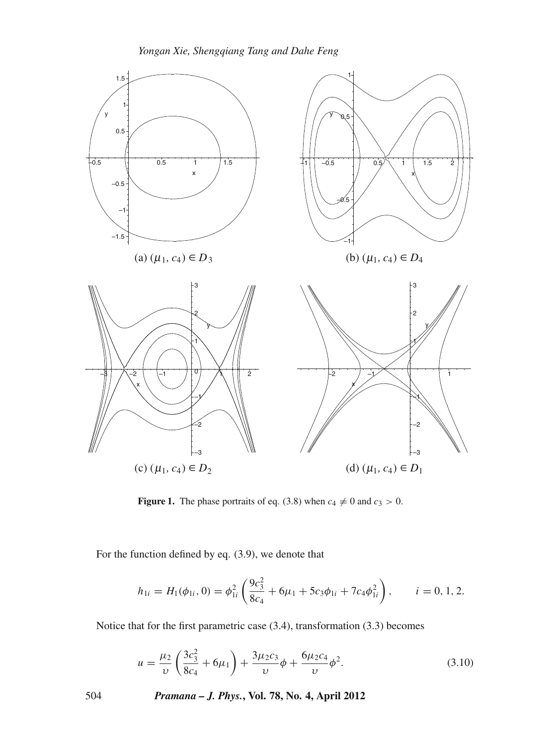

**Figure 1.** The phase portraits of eq. (3.8) when  $c_4 \neq 0$  and  $c_3 > 0$ .

For the function defined by eq. (3.9), we denote that

$$
h_{1i} = H_1(\phi_{1i}, 0) = \phi_{1i}^2 \left( \frac{9c_3^2}{8c_4} + 6\mu_1 + 5c_3\phi_{1i} + 7c_4\phi_{1i}^2 \right), \qquad i = 0, 1, 2.
$$

Notice that for the first parametric case (3.4), transformation (3.3) becomes

$$
u = \frac{\mu_2}{\nu} \left( \frac{3c_3^2}{8c_4} + 6\mu_1 \right) + \frac{3\mu_2 c_3}{\nu} \phi + \frac{6\mu_2 c_4}{\nu} \phi^2.
$$
 (3.10)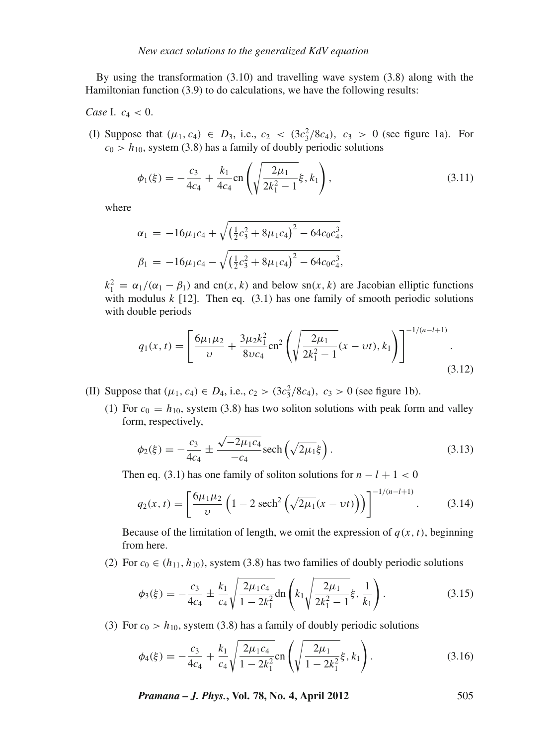By using the transformation (3.10) and travelling wave system (3.8) along with the Hamiltonian function (3.9) to do calculations, we have the following results:

*Case* I.  $c_4 < 0$ .

(I) Suppose that  $(\mu_1, c_4) \in D_3$ , i.e.,  $c_2 < (3c_3^2/8c_4)$ ,  $c_3 > 0$  (see figure 1a). For  $c_0 > h_{10}$ , system (3.8) has a family of doubly periodic solutions

$$
\phi_1(\xi) = -\frac{c_3}{4c_4} + \frac{k_1}{4c_4} \text{cn} \left( \sqrt{\frac{2\mu_1}{2k_1^2 - 1}} \xi, k_1 \right),\tag{3.11}
$$

where

$$
\alpha_1 = -16\mu_1c_4 + \sqrt{\left(\frac{1}{2}c_3^2 + 8\mu_1c_4\right)^2 - 64c_0c_4^3},
$$
  
\n
$$
\beta_1 = -16\mu_1c_4 - \sqrt{\left(\frac{1}{2}c_3^2 + 8\mu_1c_4\right)^2 - 64c_0c_4^3},
$$

 $k_1^2 = \alpha_1/(\alpha_1 - \beta_1)$  and cn(*x*, *k*) and below sn(*x*, *k*) are Jacobian elliptic functions with modulus  $k$  [12]. Then eq.  $(3.1)$  has one family of smooth periodic solutions with double periods

$$
q_1(x,t) = \left[\frac{6\mu_1\mu_2}{\nu} + \frac{3\mu_2k_1^2}{8\nu c_4} \text{cn}^2 \left(\sqrt{\frac{2\mu_1}{2k_1^2 - 1}}(x - \nu t), k_1\right)\right]^{-1/(n-l+1)}.\tag{3.12}
$$

- (II) Suppose that  $(\mu_1, c_4) \in D_4$ , i.e.,  $c_2 > (3c_3^2/8c_4)$ ,  $c_3 > 0$  (see figure 1b).
	- (1) For  $c_0 = h_{10}$ , system (3.8) has two soliton solutions with peak form and valley form, respectively,

$$
\phi_2(\xi) = -\frac{c_3}{4c_4} \pm \frac{\sqrt{-2\mu_1 c_4}}{-c_4} \text{sech}\left(\sqrt{2\mu_1} \xi\right). \tag{3.13}
$$

Then eq. (3.1) has one family of soliton solutions for  $n - l + 1 < 0$ 

$$
q_2(x,t) = \left[\frac{6\mu_1\mu_2}{\nu}\left(1 - 2\,\text{sech}^2\left(\sqrt{2\mu_1}(x - \nu t)\right)\right)\right]^{-1/(n-l+1)}.\tag{3.14}
$$

Because of the limitation of length, we omit the expression of  $q(x, t)$ , beginning from here.

(2) For  $c_0 \in (h_{11}, h_{10})$ , system (3.8) has two families of doubly periodic solutions

$$
\phi_3(\xi) = -\frac{c_3}{4c_4} \pm \frac{k_1}{c_4} \sqrt{\frac{2\mu_1 c_4}{1 - 2k_1^2}} \text{dn} \left( k_1 \sqrt{\frac{2\mu_1}{2k_1^2 - 1}} \xi, \frac{1}{k_1} \right). \tag{3.15}
$$

(3) For  $c_0 > h_{10}$ , system (3.8) has a family of doubly periodic solutions

$$
\phi_4(\xi) = -\frac{c_3}{4c_4} + \frac{k_1}{c_4} \sqrt{\frac{2\mu_1 c_4}{1 - 2k_1^2}} \text{cn} \left( \sqrt{\frac{2\mu_1}{1 - 2k_1^2}} \xi, k_1 \right). \tag{3.16}
$$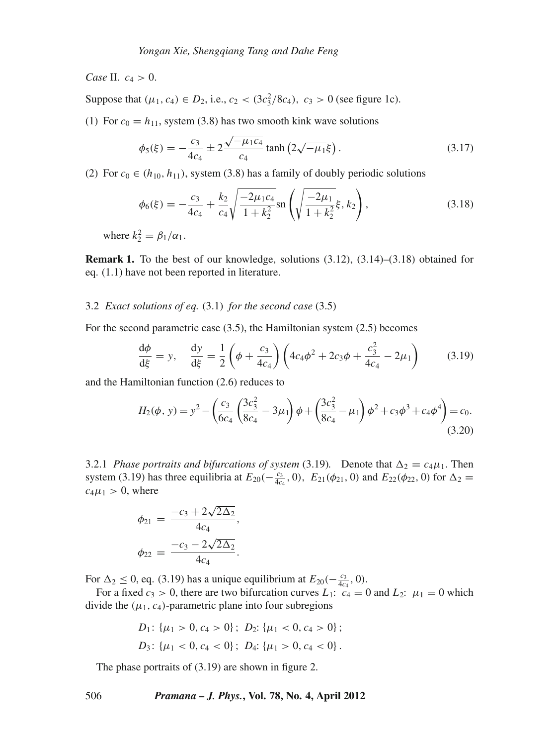*Case* II.  $c_4 > 0$ .

Suppose that  $(\mu_1, c_4) \in D_2$ , i.e.,  $c_2 < (3c_3^2/8c_4)$ ,  $c_3 > 0$  (see figure 1c).

(1) For  $c_0 = h_{11}$ , system (3.8) has two smooth kink wave solutions

$$
\phi_5(\xi) = -\frac{c_3}{4c_4} \pm 2 \frac{\sqrt{-\mu_1 c_4}}{c_4} \tanh\left(2\sqrt{-\mu_1}\xi\right). \tag{3.17}
$$

(2) For  $c_0 \in (h_{10}, h_{11})$ , system (3.8) has a family of doubly periodic solutions

$$
\phi_6(\xi) = -\frac{c_3}{4c_4} + \frac{k_2}{c_4} \sqrt{\frac{-2\mu_1 c_4}{1 + k_2^2}} \operatorname{sn}\left(\sqrt{\frac{-2\mu_1}{1 + k_2^2}} \xi, k_2\right),\tag{3.18}
$$

where  $k_2^2 = \beta_1/\alpha_1$ .

**Remark 1.** To the best of our knowledge, solutions (3.12), (3.14)–(3.18) obtained for eq. (1.1) have not been reported in literature.

# 3.2 *Exact solutions of eq.* (3.1) *for the second case* (3.5)

For the second parametric case (3.5), the Hamiltonian system (2.5) becomes

$$
\frac{d\phi}{d\xi} = y, \quad \frac{dy}{d\xi} = \frac{1}{2} \left( \phi + \frac{c_3}{4c_4} \right) \left( 4c_4\phi^2 + 2c_3\phi + \frac{c_3^2}{4c_4} - 2\mu_1 \right) \tag{3.19}
$$

and the Hamiltonian function (2.6) reduces to

$$
H_2(\phi, y) = y^2 - \left(\frac{c_3}{6c_4} \left(\frac{3c_3^2}{8c_4} - 3\mu_1\right)\phi + \left(\frac{3c_3^2}{8c_4} - \mu_1\right)\phi^2 + c_3\phi^3 + c_4\phi^4\right) = c_0.
$$
\n(3.20)

3.2.1 *Phase portraits and bifurcations of system* (3.19). Denote that  $\Delta_2 = c_4 \mu_1$ . Then system (3.19) has three equilibria at  $E_{20}(-\frac{c_3}{4c_4}, 0)$ ,  $E_{21}(\phi_{21}, 0)$  and  $E_{22}(\phi_{22}, 0)$  for  $\Delta_2 =$  $c_4\mu_1 > 0$ , where

$$
\phi_{21} = \frac{-c_3 + 2\sqrt{2\Delta_2}}{4c_4},
$$

$$
\phi_{22} = \frac{-c_3 - 2\sqrt{2\Delta_2}}{4c_4}.
$$

For  $\Delta_2 \le 0$ , eq. (3.19) has a unique equilibrium at  $E_{20}(-\frac{c_3}{4c_4}, 0)$ .

For a fixed  $c_3 > 0$ , there are two bifurcation curves  $L_1$ :  $c_4 = 0$  and  $L_2$ :  $\mu_1 = 0$  which divide the  $(\mu_1, c_4)$ -parametric plane into four subregions

$$
D_1: \{\mu_1 > 0, c_4 > 0\}; \ D_2: \{\mu_1 < 0, c_4 > 0\};
$$
  

$$
D_3: \{\mu_1 < 0, c_4 < 0\}; \ D_4: \{\mu_1 > 0, c_4 < 0\}.
$$

The phase portraits of (3.19) are shown in figure 2.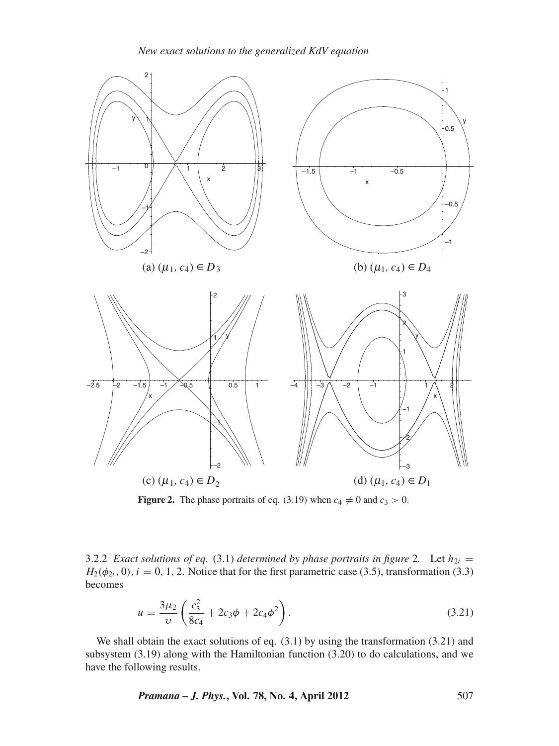

**Figure 2.** The phase portraits of eq. (3.19) when  $c_4 \neq 0$  and  $c_3 > 0$ .

3.2.2 *Exact solutions of eq.* (3.1) *determined by phase portraits in figure* 2*.* Let  $h_{2i}$  =  $H_2(\phi_{2i}, 0)$ ,  $i = 0, 1, 2$ . Notice that for the first parametric case (3.5), transformation (3.3) becomes

$$
u = \frac{3\mu_2}{\nu} \left( \frac{c_3^2}{8c_4} + 2c_3\phi + 2c_4\phi^2 \right).
$$
 (3.21)

We shall obtain the exact solutions of eq. (3.1) by using the transformation (3.21) and subsystem (3.19) along with the Hamiltonian function (3.20) to do calculations, and we have the following results.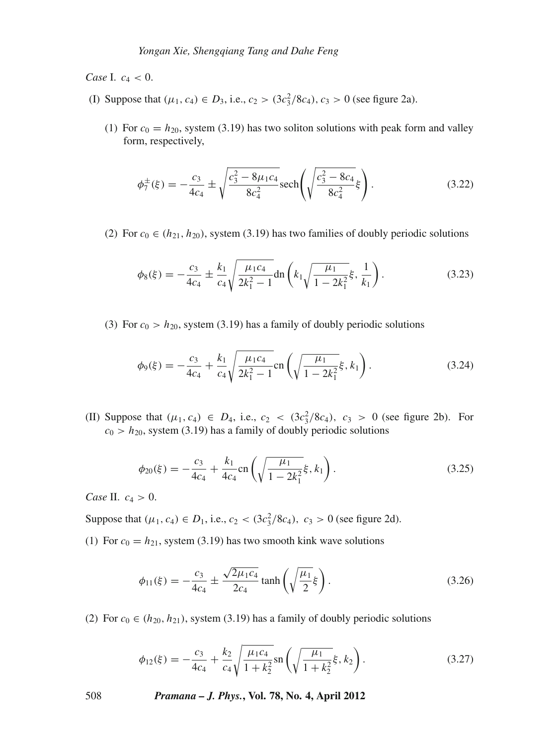*Case* I.  $c_4 < 0$ .

- (I) Suppose that  $(\mu_1, c_4) \in D_3$ , i.e.,  $c_2 > (3c_3^2/8c_4)$ ,  $c_3 > 0$  (see figure 2a).
	- (1) For  $c_0 = h_{20}$ , system (3.19) has two soliton solutions with peak form and valley form, respectively,

$$
\phi_7^{\pm}(\xi) = -\frac{c_3}{4c_4} \pm \sqrt{\frac{c_3^2 - 8\mu_1 c_4}{8c_4^2}} \text{sech}\left(\sqrt{\frac{c_3^2 - 8c_4}{8c_4^2}}\xi\right). \tag{3.22}
$$

(2) For  $c_0 \in (h_{21}, h_{20})$ , system (3.19) has two families of doubly periodic solutions

$$
\phi_8(\xi) = -\frac{c_3}{4c_4} \pm \frac{k_1}{c_4} \sqrt{\frac{\mu_1 c_4}{2k_1^2 - 1}} \text{dn} \left( k_1 \sqrt{\frac{\mu_1}{1 - 2k_1^2}} \xi, \frac{1}{k_1} \right). \tag{3.23}
$$

(3) For  $c_0 > h_{20}$ , system (3.19) has a family of doubly periodic solutions

$$
\phi_9(\xi) = -\frac{c_3}{4c_4} + \frac{k_1}{c_4} \sqrt{\frac{\mu_1 c_4}{2k_1^2 - 1}} \text{cn}\left(\sqrt{\frac{\mu_1}{1 - 2k_1^2}} \xi, k_1\right). \tag{3.24}
$$

(II) Suppose that  $(\mu_1, c_4) \in D_4$ , i.e.,  $c_2 < (3c_3^2/8c_4)$ ,  $c_3 > 0$  (see figure 2b). For  $c_0 > h_{20}$ , system (3.19) has a family of doubly periodic solutions

$$
\phi_{20}(\xi) = -\frac{c_3}{4c_4} + \frac{k_1}{4c_4} \text{cn} \left( \sqrt{\frac{\mu_1}{1 - 2k_1^2}} \xi, k_1 \right). \tag{3.25}
$$

*Case* II. *c*<sup>4</sup> > 0.

Suppose that  $(\mu_1, c_4) \in D_1$ , i.e.,  $c_2 < (3c_3^2/8c_4)$ ,  $c_3 > 0$  (see figure 2d).

(1) For  $c_0 = h_{21}$ , system (3.19) has two smooth kink wave solutions

$$
\phi_{11}(\xi) = -\frac{c_3}{4c_4} \pm \frac{\sqrt{2\mu_1 c_4}}{2c_4} \tanh\left(\sqrt{\frac{\mu_1}{2}}\xi\right). \tag{3.26}
$$

(2) For  $c_0 \in (h_{20}, h_{21})$ , system (3.19) has a family of doubly periodic solutions

$$
\phi_{12}(\xi) = -\frac{c_3}{4c_4} + \frac{k_2}{c_4} \sqrt{\frac{\mu_1 c_4}{1 + k_2^2}} \operatorname{sn}\left(\sqrt{\frac{\mu_1}{1 + k_2^2}} \xi, k_2\right). \tag{3.27}
$$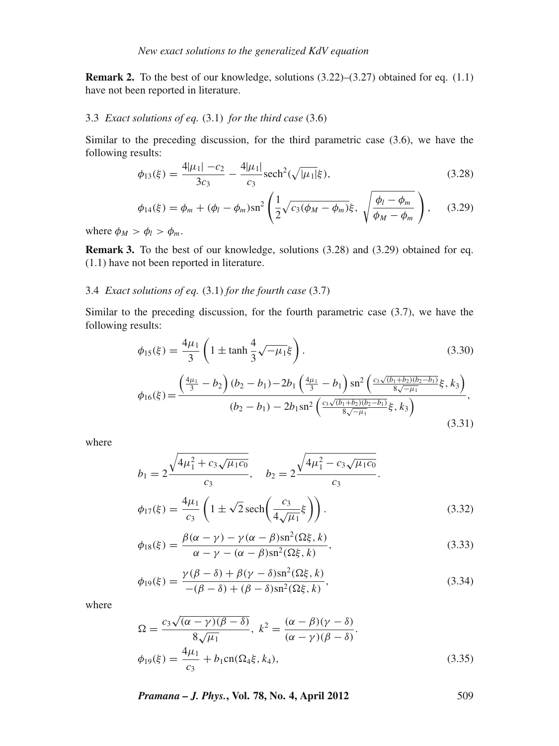**Remark 2.** To the best of our knowledge, solutions (3.22)–(3.27) obtained for eq. (1.1) have not been reported in literature.

# 3.3 *Exact solutions of eq.* (3.1) *for the third case* (3.6)

Similar to the preceding discussion, for the third parametric case (3.6), we have the following results:

$$
\phi_{13}(\xi) = \frac{4|\mu_1| - c_2}{3c_3} - \frac{4|\mu_1|}{c_3} \text{sech}^2(\sqrt{|\mu_1|}\xi),\tag{3.28}
$$

$$
\phi_{14}(\xi) = \phi_m + (\phi_l - \phi_m)\mathrm{sn}^2 \left( \frac{1}{2} \sqrt{c_3(\phi_M - \phi_m)} \xi, \sqrt{\frac{\phi_l - \phi_m}{\phi_M - \phi_m}} \right), \quad (3.29)
$$

where  $\phi_M > \phi_l > \phi_m$ .

**Remark 3.** To the best of our knowledge, solutions (3.28) and (3.29) obtained for eq. (1.1) have not been reported in literature.

# 3.4 *Exact solutions of eq.* (3.1) *for the fourth case* (3.7)

Similar to the preceding discussion, for the fourth parametric case (3.7), we have the following results:

$$
\phi_{15}(\xi) = \frac{4\mu_1}{3} \left( 1 \pm \tanh\frac{4}{3}\sqrt{-\mu_1}\xi \right). \tag{3.30}
$$

$$
\phi_{16}(\xi) = \frac{\left(\frac{4\mu_1}{3} - b_2\right)(b_2 - b_1) - 2b_1 \left(\frac{4\mu_1}{3} - b_1\right) \operatorname{sn}^2 \left(\frac{c_3 \sqrt{(b_1 + b_2)(b_2 - b_1)}}{8\sqrt{-\mu_1}} \xi, k_3\right)}{(b_2 - b_1) - 2b_1 \operatorname{sn}^2 \left(\frac{c_3 \sqrt{(b_1 + b_2)(b_2 - b_1)}}{8\sqrt{-\mu_1}} \xi, k_3\right)},\tag{3.31}
$$

where

$$
b_1 = 2 \frac{\sqrt{4\mu_1^2 + c_3 \sqrt{\mu_1 c_0}}}{c_3}, \quad b_2 = 2 \frac{\sqrt{4\mu_1^2 - c_3 \sqrt{\mu_1 c_0}}}{c_3}.
$$

$$
\phi_{17}(\xi) = \frac{4\mu_1}{c_3} \left(1 \pm \sqrt{2} \operatorname{sech}\left(\frac{c_3}{4\sqrt{\mu_1}}\xi\right)\right).
$$
(3.32)

$$
\phi_{18}(\xi) = \frac{\beta(\alpha - \gamma) - \gamma(\alpha - \beta)\text{sn}^2(\Omega\xi, k)}{\alpha - \gamma - (\alpha - \beta)\text{sn}^2(\Omega\xi, k)},
$$
\n(3.33)

$$
\phi_{19}(\xi) = \frac{\gamma(\beta - \delta) + \beta(\gamma - \delta)\operatorname{sn}^2(\Omega\xi, k)}{-(\beta - \delta) + (\beta - \delta)\operatorname{sn}^2(\Omega\xi, k)},
$$
\n(3.34)

where

$$
\Omega = \frac{c_3 \sqrt{(\alpha - \gamma)(\beta - \delta)}}{8 \sqrt{\mu_1}}, \ k^2 = \frac{(\alpha - \beta)(\gamma - \delta)}{(\alpha - \gamma)(\beta - \delta)}.
$$
  

$$
\phi_{19}(\xi) = \frac{4\mu_1}{c_3} + b_1 \text{cn}(\Omega_4 \xi, k_4), \tag{3.35}
$$

*Pramana – J. Phys.***, Vol. 78, No. 4, April 2012** 509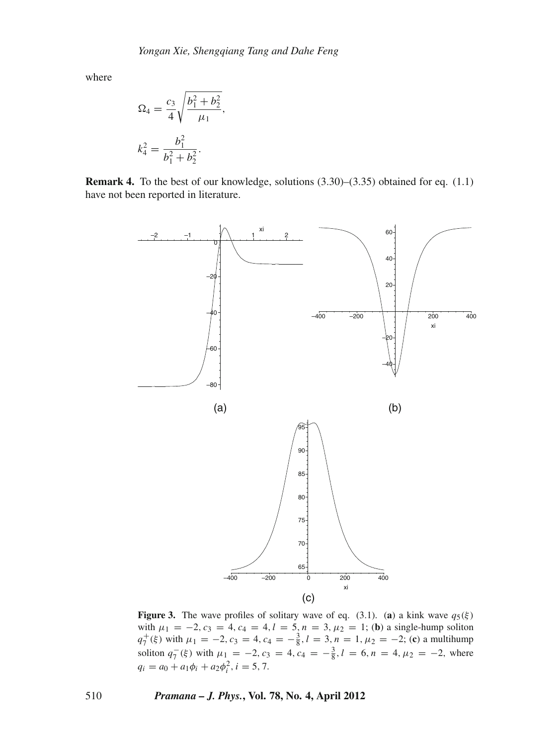where

$$
\Omega_4 = \frac{c_3}{4} \sqrt{\frac{b_1^2 + b_2^2}{\mu_1}},
$$
  

$$
k_4^2 = \frac{b_1^2}{b_1^2 + b_2^2}.
$$

**Remark 4.** To the best of our knowledge, solutions (3.30)–(3.35) obtained for eq. (1.1) have not been reported in literature.



**Figure 3.** The wave profiles of solitary wave of eq. (3.1). (**a**) a kink wave  $q_5(\xi)$ with  $\mu_1 = -2$ ,  $c_3 = 4$ ,  $c_4 = 4$ ,  $l = 5$ ,  $n = 3$ ,  $\mu_2 = 1$ ; (**b**) a single-hump soliton  $q_7^+(\xi)$  with  $\mu_1 = -2$ ,  $c_3 = 4$ ,  $c_4 = -\frac{3}{8}$ ,  $l = 3$ ,  $n = 1$ ,  $\mu_2 = -2$ ; (**c**) a multihump soliton  $q_7^-(\xi)$  with  $\mu_1 = -2$ ,  $c_3 = 4$ ,  $c_4 = -\frac{3}{8}$ ,  $l = 6$ ,  $n = 4$ ,  $\mu_2 = -2$ , where  $q_i = a_0 + a_1 \phi_i + a_2 \phi_i^2$ ,  $i = 5, 7$ .